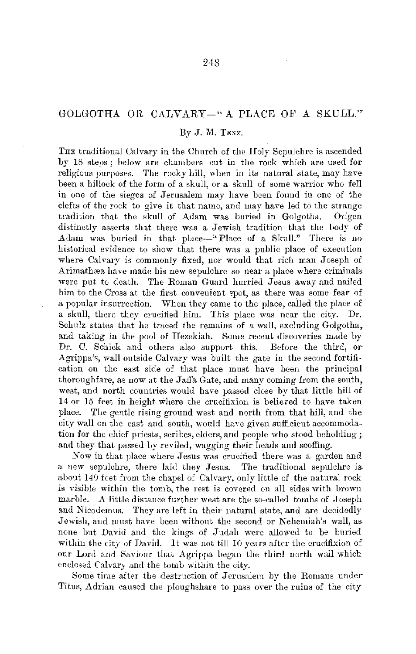## GOLGOTHA OR CALVARY-" A PLACE OF A SKULL.""

## By J. M. TENZ.

THE traditional Calvary in the Church of the Holy Sepulchre is ascended. by 18 steps; below are chambers cut in the rock which are nsed for religious purposes. The rocky hill, when in its natural state, may have been a hillock of the form of a skull, or a skull of some warrior who fell in one of the sieges of Jerusalem may have been found in one of the clefts of the rock to give it that name, and may have led to the strange tradition that the skull of Adam was buried in Golvotha. Origen tradition that the skull of Adam was buried in Golgotha. distinctly asserts tint there was a Jewish tradition that the body of Adam was buried in that place-"Place of a Skull." There is no historical evidence to show that there was a public place of execution where Calvary is commonly fixed, nor would that rich man Joseph of Arimathæa have made his new sepulchre so near a place where criminals were put to death. The Roman Guard hurried Jesus away and nailed him to the Cross at the first convenient spot, as there was some fear of a popular insurrection. When they came *to* the place, called the place of a skull, there they crucified him. This place was near the city. Dr. Schulz states that he traced the remains of a wall, excluding Golgotha, and taking in the pool of Hezekiah. Some recent discoveries made by Dr. C. Schick and others also support this. Before the third, or Agrippa's, wall outside Calvary was built the gate in the second fortification on the east side of that place must have been the principal thoroughfare, as now at the Jaffa Gate, and many coming from the south, west, and north countries would have passed close by that little hiil of 14 or 15 feet in height where the crucifixion is believed to have taken place. The gentle rising ground west and north from that hill, and the city wall on the east and south, would have given sufficient accommodation for the chief priests, scribes, elders, and people who stood beholding; and they that passed by reviled, wagging their heads and scoffing.

*Now* in that place where Jesus was crucified there was a garden and a new sepulchre, there laid they Jesus. The traditional sepulchre is. about 140 feet from the chapel of Calvary, only little of the natural rock is Yisible within the tomb, the rest is covered on all sides with brown marble. A little distance further west are the so-called tombs of  $J$ oseph and Nicodemus. They are left in their natural state, and are decidedly Jewish, and must have been without the second or Nehemiah's wall, as none but David and the kings of Judah were allowed to be buried within the city of David. It was not till 10 years after the crucifixion of our Lord and Saviour that Agrippa began the third north wall which enclosed Calvary and the tomb within the city.

8ome time after the destruction of Jerusalem by the Romans under Titus, Adrian caused the ploughshare to pass over the ruins of the city